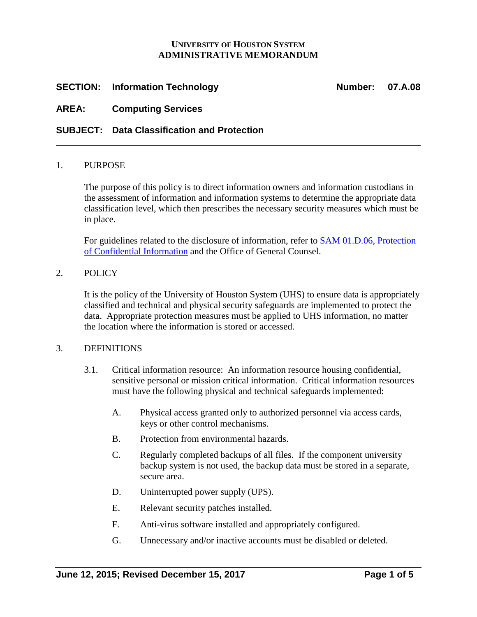### **UNIVERSITY OF HOUSTON SYSTEM ADMINISTRATIVE MEMORANDUM**

# **SECTION:** Information Technology **Number:** 07.A.08

# **AREA: Computing Services**

# **SUBJECT: Data Classification and Protection**

### 1. PURPOSE

The purpose of this policy is to direct information owners and information custodians in the assessment of information and information systems to determine the appropriate data classification level, which then prescribes the necessary security measures which must be in place.

For guidelines related to the disclosure of information, refer to [SAM 01.D.06,](http://www.uh.edu/af/universityservices/policies/sam/1GenAdmin/1D6.pdf) Protection [of Confidential Information](http://www.uh.edu/af/universityservices/policies/sam/1GenAdmin/1D6.pdf) and the Office of General Counsel.

### 2. POLICY

It is the policy of the University of Houston System (UHS) to ensure data is appropriately classified and technical and physical security safeguards are implemented to protect the data. Appropriate protection measures must be applied to UHS information, no matter the location where the information is stored or accessed.

### 3. DEFINITIONS

- 3.1. Critical information resource: An information resource housing confidential, sensitive personal or mission critical information. Critical information resources must have the following physical and technical safeguards implemented:
	- A. Physical access granted only to authorized personnel via access cards, keys or other control mechanisms.
	- B. Protection from environmental hazards.
	- C. Regularly completed backups of all files. If the component university backup system is not used, the backup data must be stored in a separate, secure area.
	- D. Uninterrupted power supply (UPS).
	- E. Relevant security patches installed.
	- F. Anti-virus software installed and appropriately configured.
	- G. Unnecessary and/or inactive accounts must be disabled or deleted.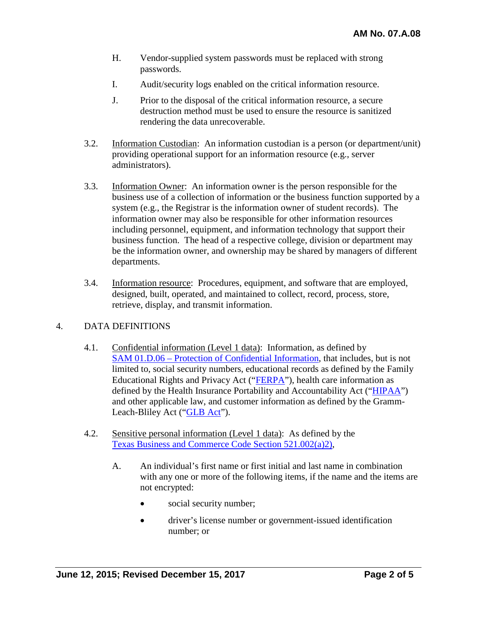- H. Vendor-supplied system passwords must be replaced with strong passwords.
- I. Audit/security logs enabled on the critical information resource.
- J. Prior to the disposal of the critical information resource, a secure destruction method must be used to ensure the resource is sanitized rendering the data unrecoverable.
- 3.2. Information Custodian: An information custodian is a person (or department/unit) providing operational support for an information resource (e.g., server administrators).
- 3.3. Information Owner: An information owner is the person responsible for the business use of a collection of information or the business function supported by a system (e.g., the Registrar is the information owner of student records). The information owner may also be responsible for other information resources including personnel, equipment, and information technology that support their business function. The head of a respective college, division or department may be the information owner, and ownership may be shared by managers of different departments.
- 3.4. Information resource: Procedures, equipment, and software that are employed, designed, built, operated, and maintained to collect, record, process, store, retrieve, display, and transmit information.

## 4. DATA DEFINITIONS

- 4.1. Confidential information (Level 1 data): Information, as defined by SAM 01.D.06 – [Protection of Confidential Information,](http://www.uh.edu/af/universityservices/policies/sam/1GenAdmin/1D6.pdf) that includes, but is not limited to, social security numbers, educational records as defined by the Family Educational Rights and Privacy Act (["FERPA"](http://www2.ed.gov/policy/gen/guid/fpco/ferpa/index.html)), health care information as defined by the Health Insurance Portability and Accountability Act (["HIPAA"](http://www.hhs.gov/ocr/privacy/)) and other applicable law, and customer information as defined by the Gramm-Leach-Bliley Act (["GLB Act"](http://business.ftc.gov/privacy-and-security/gramm-leach-bliley-act)).
- 4.2. Sensitive personal information (Level 1 data): As defined by the [Texas Business and Commerce Code Section 521.002\(a\)2\),](http://www.statutes.legis.state.tx.us/Docs/BC/htm/BC.521.htm#521.053)
	- A. An individual's first name or first initial and last name in combination with any one or more of the following items, if the name and the items are not encrypted:
		- social security number;
		- driver's license number or government-issued identification number; or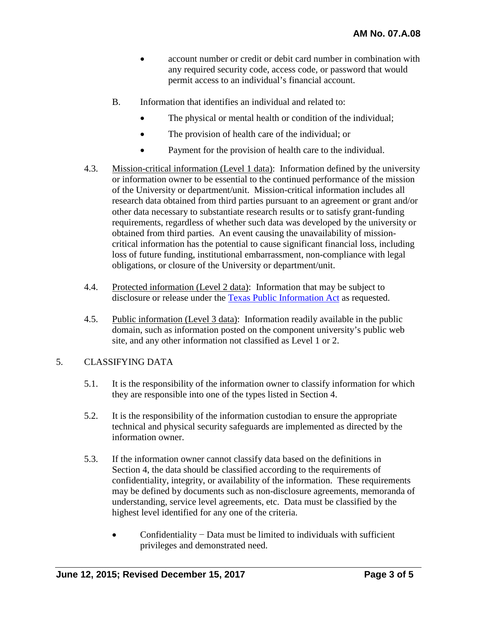- account number or credit or debit card number in combination with any required security code, access code, or password that would permit access to an individual's financial account.
- B. Information that identifies an individual and related to:
	- The physical or mental health or condition of the individual;
	- The provision of health care of the individual; or
	- Payment for the provision of health care to the individual.
- 4.3. Mission-critical information (Level 1 data): Information defined by the university or information owner to be essential to the continued performance of the mission of the University or department/unit. Mission-critical information includes all research data obtained from third parties pursuant to an agreement or grant and/or other data necessary to substantiate research results or to satisfy grant-funding requirements, regardless of whether such data was developed by the university or obtained from third parties. An event causing the unavailability of missioncritical information has the potential to cause significant financial loss, including loss of future funding, institutional embarrassment, non-compliance with legal obligations, or closure of the University or department/unit.
- 4.4. Protected information (Level 2 data): Information that may be subject to disclosure or release under the [Texas Public Information Act](https://comptroller.texas.gov/about/policies/public-information-act.php) as requested.
- 4.5. Public information (Level 3 data): Information readily available in the public domain, such as information posted on the component university's public web site, and any other information not classified as Level 1 or 2.

## 5. CLASSIFYING DATA

- 5.1. It is the responsibility of the information owner to classify information for which they are responsible into one of the types listed in Section 4.
- 5.2. It is the responsibility of the information custodian to ensure the appropriate technical and physical security safeguards are implemented as directed by the information owner.
- 5.3. If the information owner cannot classify data based on the definitions in Section 4, the data should be classified according to the requirements of confidentiality, integrity, or availability of the information. These requirements may be defined by documents such as non-disclosure agreements, memoranda of understanding, service level agreements, etc. Data must be classified by the highest level identified for any one of the criteria.
	- Confidentiality − Data must be limited to individuals with sufficient privileges and demonstrated need.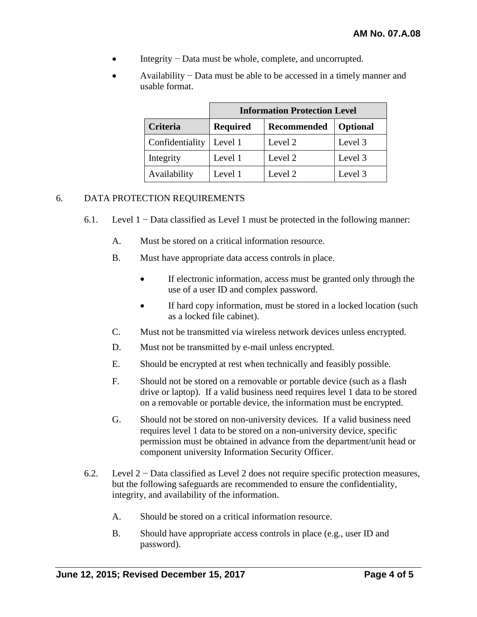- Integrity − Data must be whole, complete, and uncorrupted.
- Availability − Data must be able to be accessed in a timely manner and usable format.

|                 | <b>Information Protection Level</b> |             |          |
|-----------------|-------------------------------------|-------------|----------|
| <b>Criteria</b> | <b>Required</b>                     | Recommended | Optional |
| Confidentiality | Level 1                             | Level 2     | Level 3  |
| Integrity       | Level 1                             | Level 2     | Level 3  |
| Availability    | Level 1                             | Level 2     | Level 3  |

### 6. DATA PROTECTION REQUIREMENTS

- 6.1. Level 1 − Data classified as Level 1 must be protected in the following manner:
	- A. Must be stored on a critical information resource.
	- B. Must have appropriate data access controls in place.
		- If electronic information, access must be granted only through the use of a user ID and complex password.
		- If hard copy information, must be stored in a locked location (such as a locked file cabinet).
	- C. Must not be transmitted via wireless network devices unless encrypted.
	- D. Must not be transmitted by e-mail unless encrypted.
	- E. Should be encrypted at rest when technically and feasibly possible.
	- F. Should not be stored on a removable or portable device (such as a flash drive or laptop). If a valid business need requires level 1 data to be stored on a removable or portable device, the information must be encrypted.
	- G. Should not be stored on non-university devices. If a valid business need requires level 1 data to be stored on a non-university device, specific permission must be obtained in advance from the department/unit head or component university Information Security Officer.
- 6.2. Level 2 − Data classified as Level 2 does not require specific protection measures, but the following safeguards are recommended to ensure the confidentiality, integrity, and availability of the information.
	- A. Should be stored on a critical information resource.
	- B. Should have appropriate access controls in place (e.g., user ID and password).